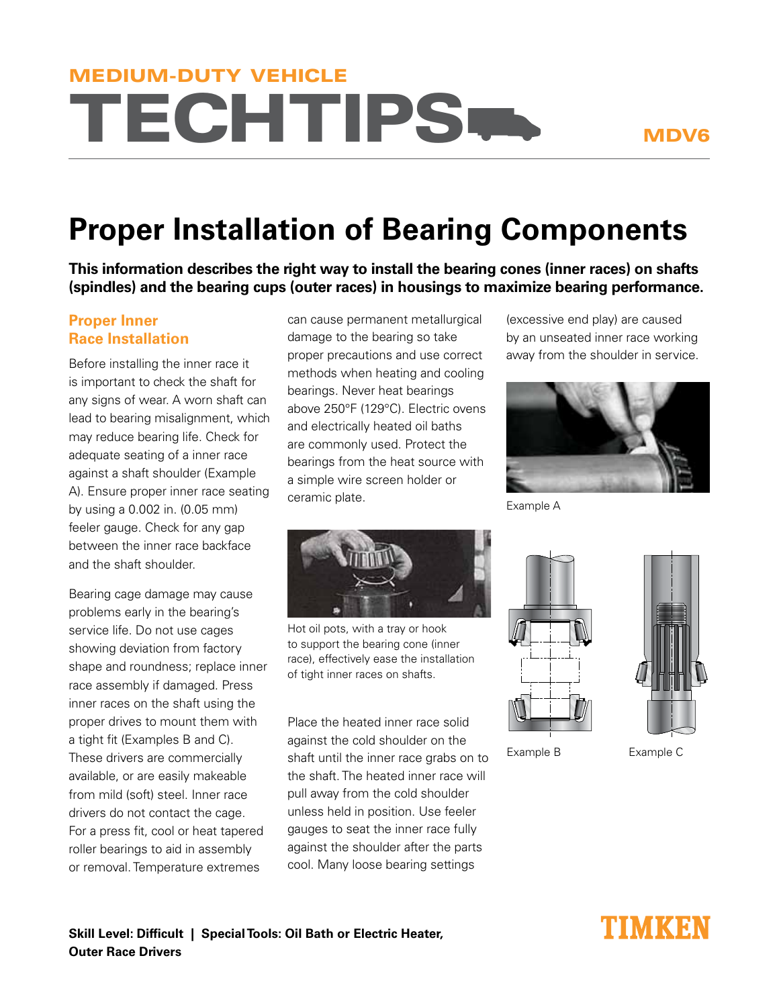# **TECHTIPS** MEDIUM-DUTY VEHICLE

### MDV6

## **Proper Installation of Bearing Components**

**This information describes the right way to install the bearing cones (inner races) on shafts (spindles) and the bearing cups (outer races) in housings to maximize bearing performance.**

### **Proper Inner Race Installation**

Before installing the inner race it is important to check the shaft for any signs of wear. A worn shaft can lead to bearing misalignment, which may reduce bearing life. Check for adequate seating of a inner race against a shaft shoulder (Example A). Ensure proper inner race seating by using a 0.002 in. (0.05 mm) feeler gauge. Check for any gap between the inner race backface and the shaft shoulder.

Bearing cage damage may cause problems early in the bearing's service life. Do not use cages showing deviation from factory shape and roundness; replace inner race assembly if damaged. Press inner races on the shaft using the proper drives to mount them with a tight fit (Examples B and C). These drivers are commercially available, or are easily makeable from mild (soft) steel. Inner race drivers do not contact the cage. For a press fit, cool or heat tapered roller bearings to aid in assembly or removal. Temperature extremes

can cause permanent metallurgical damage to the bearing so take proper precautions and use correct methods when heating and cooling bearings. Never heat bearings above 250°F (129°C). Electric ovens and electrically heated oil baths are commonly used. Protect the bearings from the heat source with a simple wire screen holder or ceramic plate.

(excessive end play) are caused by an unseated inner race working away from the shoulder in service.



Example A



Hot oil pots, with a tray or hook to support the bearing cone (inner race), effectively ease the installation of tight inner races on shafts.

Place the heated inner race solid against the cold shoulder on the shaft until the inner race grabs on to the shaft. The heated inner race will pull away from the cold shoulder unless held in position. Use feeler gauges to seat the inner race fully against the shoulder after the parts cool. Many loose bearing settings



Example B Example C